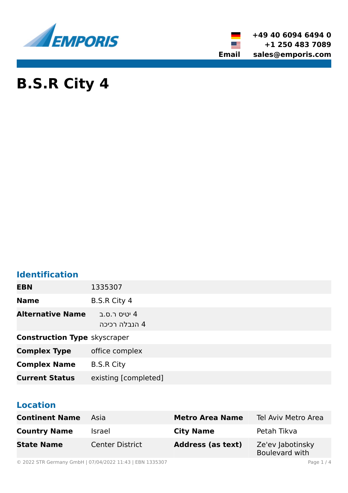

**+49 40 6094 6494 0 +1 250 483 7089 Email sales@emporis.com**

▓▆

# **B.S.R City 4**

## **Identification**

| <b>EBN</b>                          | 1335307                       |
|-------------------------------------|-------------------------------|
| <b>Name</b>                         | <b>B.S.R City 4</b>           |
| <b>Alternative Name</b>             | 4 יטיס ר.ס.ב<br>4 הנבלה רכיכה |
| <b>Construction Type skyscraper</b> |                               |
| <b>Complex Type</b>                 | office complex                |
| <b>Complex Name</b>                 | <b>B.S.R City</b>             |
| <b>Current Status</b>               | existing [completed]          |

## **Location**

| <b>Continent Name</b> | Asia                   | <b>Metro Area Name</b>   | Tel Aviv Metro Area                |
|-----------------------|------------------------|--------------------------|------------------------------------|
| <b>Country Name</b>   | <b>Israel</b>          | <b>City Name</b>         | Petah Tikva                        |
| <b>State Name</b>     | <b>Center District</b> | <b>Address (as text)</b> | Ze'ev Jabotinsky<br>Boulevard with |

© 2022 STR Germany GmbH | 07/04/2022 11:43 | EBN 1335307 Page 1 / 4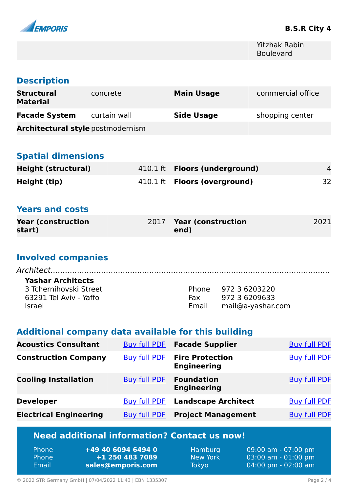

Yitzhak Rabin Boulevard

## **Description**

| <b>Structural</b><br><b>Material</b>     | concrete     | <b>Main Usage</b> | commercial office |
|------------------------------------------|--------------|-------------------|-------------------|
| <b>Facade System</b>                     | curtain wall | <b>Side Usage</b> | shopping center   |
| <b>Architectural style postmodernism</b> |              |                   |                   |

## **Spatial dimensions**

| Height (structural) | 410.1 ft <b>Floors (underground)</b> |    |
|---------------------|--------------------------------------|----|
| Height (tip)        | 410.1 ft <b>Floors (overground)</b>  | 32 |

#### **Years and costs**

| <b>Year (construction)</b> | 2017 Year (construction | 2021 |
|----------------------------|-------------------------|------|
| start)                     | end)                    |      |

## **Involved companies**

| <b>Yashar Architects</b> |     |                         |  |
|--------------------------|-----|-------------------------|--|
| 3 Tchernihovski Street   |     | Phone 972 3 6203220     |  |
| 63291 Tel Aviv - Yaffo   | Fax | 972 3 6209633           |  |
| <b>Israel</b>            |     | Email mail@a-yashar.com |  |

## **Additional company data available for this building**

| <b>Acoustics Consultant</b>   | Buy full PDF        | <b>Facade Supplier</b>                       | <b>Buy full PDF</b> |
|-------------------------------|---------------------|----------------------------------------------|---------------------|
| <b>Construction Company</b>   | <b>Buy full PDF</b> | <b>Fire Protection</b><br><b>Engineering</b> | <b>Buy full PDF</b> |
| <b>Cooling Installation</b>   | <b>Buy full PDF</b> | <b>Foundation</b><br><b>Engineering</b>      | <b>Buy full PDF</b> |
| <b>Developer</b>              | <b>Buy full PDF</b> | <b>Landscape Architect</b>                   | <b>Buy full PDF</b> |
| <b>Electrical Engineering</b> | <b>Buy full PDF</b> | <b>Project Management</b>                    | <b>Buy full PDF</b> |

## **Need additional information? Contact us now!**

| +49 40 6094 6494 0<br><b>Phone</b><br>1 +1 250 483 7089<br><b>Phone</b><br>Email<br>sales@emporis.com | Hamburg<br><b>New York</b><br>Tokyo | 09:00 am - 07:00 pm<br>$03:00$ am - $01:00$ pm<br>$[04:00 \text{ pm} - 02:00 \text{ am}]$ |
|-------------------------------------------------------------------------------------------------------|-------------------------------------|-------------------------------------------------------------------------------------------|
|-------------------------------------------------------------------------------------------------------|-------------------------------------|-------------------------------------------------------------------------------------------|

© 2022 STR Germany GmbH | 07/04/2022 11:43 | EBN 1335307 Page 2 / 4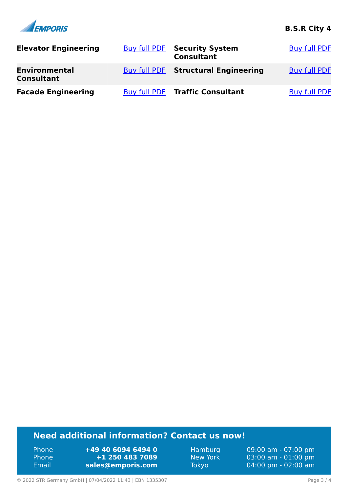

## **Need additional information? Contact us now!**

Phone **+49 40 6094 6494 0** Phone **+1 250 483 7089** Email **<sales@emporis.com>**

Hamburg 09:00 am - 07:00 pm New York 03:00 am - 01:00 pm<br>Tokyo 04:00 pm - 02:00 am 04:00 pm - 02:00 am